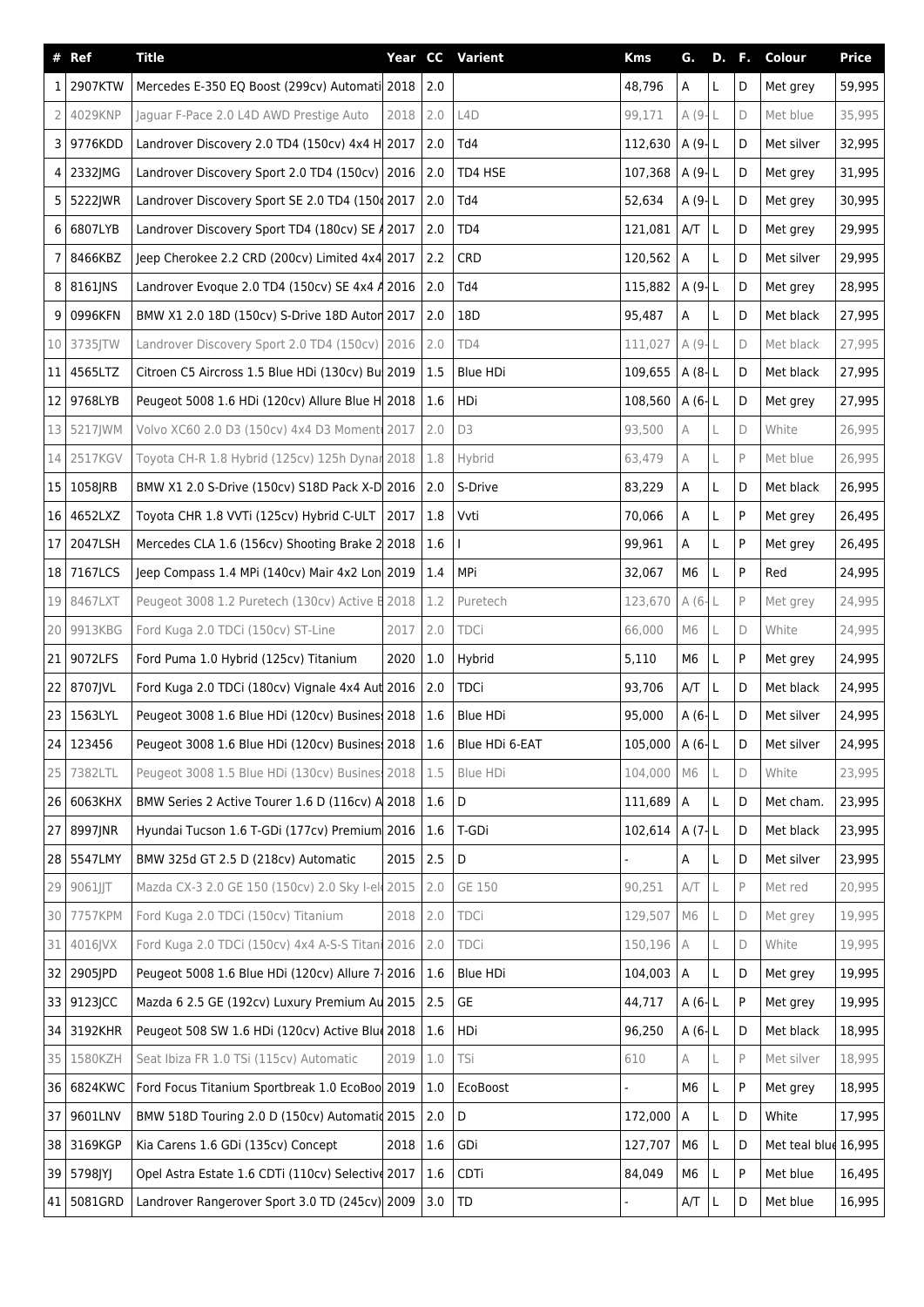| $\pmb{\#}$ | Ref        | <b>Title</b>                                                          |      |       | Year CC Varient | <b>Kms</b>     | G.             | <b>D.</b> F. |              | Colour               | <b>Price</b> |
|------------|------------|-----------------------------------------------------------------------|------|-------|-----------------|----------------|----------------|--------------|--------------|----------------------|--------------|
| 11         | 2907KTW    | Mercedes E-350 EQ Boost (299cv) Automati 2018                         |      | 2.0   |                 | 48,796         | А              | L.           | D            | Met grey             | 59,995       |
|            | 2 4029KNP  | Jaguar F-Pace 2.0 L4D AWD Prestige Auto                               | 2018 | 2.0   | L4D             | 99,171         | A (9-L         |              | $\mathsf D$  | Met blue             | 35,995       |
|            | 3 9776KDD  | Landrover Discovery 2.0 TD4 (150cv) 4x4 H 2017                        |      | 2.0   | Td4             | 112,630        | $A(9-L)$       |              | D            | Met silver           | 32,995       |
|            | 4 2332JMG  | Landrover Discovery Sport 2.0 TD4 (150cv)   2016                      |      | 2.0   | TD4 HSE         | 107,368        | A $(9L)$       |              | D            | Met grey             | 31,995       |
|            | 5 5222JWR  | Landrover Discovery Sport SE 2.0 TD4 (150 2017                        |      | 2.0   | Td4             | 52,634         | A(9L)          |              | D            | Met grey             | 30,995       |
|            | 6 6807LYB  | Landrover Discovery Sport TD4 (180cv) SE A 2017                       |      | 2.0   | TD4             | 121,081        | A/T            | L            | D            | Met grey             | 29,995       |
|            | 7 8466KBZ  | Jeep Cherokee 2.2 CRD (200cv) Limited 4x4 2017                        |      | 2.2   | CRD             | 120,562        | А              | L            | D            | Met silver           | 29,995       |
|            | 8 8161JNS  | Landrover Evoque 2.0 TD4 (150cv) SE 4x4 A 2016                        |      | 2.0   | Td4             | 115,882        | A $(9L)$       |              | D            | Met grey             | 28,995       |
|            | 9 0996KFN  | BMW X1 2.0 18D (150cv) S-Drive 18D Autor 2017                         |      | 2.0   | 18D             | 95,487         | А              | L            | D            | Met black            | 27,995       |
|            | 10 3735JTW | Landrover Discovery Sport 2.0 TD4 (150cv) 2016                        |      | 2.0   | TD4             | 111,027        | A (9-L         |              | $\mathsf D$  | Met black            | 27,995       |
|            | 11 4565LTZ | Citroen C5 Aircross 1.5 Blue HDi (130cv) Bul 2019                     |      | 1.5   | <b>Blue HDi</b> | 109,655        | A(8L)          |              | D            | Met black            | 27,995       |
|            | 12 9768LYB | Peugeot 5008 1.6 HDi (120cv) Allure Blue H 2018                       |      | 1.6   | HDi             | 108,560        | A(6 L)         |              | D            | Met grey             | 27,995       |
|            | 13 5217JWM | Volvo XC60 2.0 D3 (150cv) 4x4 D3 Moment 2017                          |      | 2.0   | D <sub>3</sub>  | 93,500         | A              | L            | D            | White                | 26,995       |
|            | 14 2517KGV | Toyota CH-R 1.8 Hybrid (125cv) 125h Dynar 2018                        |      | 1.8   | Hybrid          | 63.479         | A              | L            | P            | Met blue             | 26,995       |
|            | 15 1058JRB | BMW X1 2.0 S-Drive (150cv) S18D Pack X-D 2016                         |      | 2.0   | S-Drive         | 83,229         | А              | L            | D            | Met black            | 26,995       |
|            | 16 4652LXZ | Toyota CHR 1.8 VVTi (125cv) Hybrid C-ULT                              | 2017 | 1.8   | Vvti            | 70,066         | Α              | L            | P            | Met grey             | 26,495       |
|            | 17 2047LSH | Mercedes CLA 1.6 (156cv) Shooting Brake 2 2018                        |      | 1.6   |                 | 99,961         | Α              | L.           | ${\sf P}$    | Met grey             | 26,495       |
|            | 18 7167LCS | Jeep Compass 1.4 MPi (140cv) Mair 4x2 Lon 2019                        |      | 1.4   | MPi             | 32,067         | M6             | L.           | ${\sf P}$    | Red                  | 24,995       |
|            | 19 8467LXT | Peugeot 3008 1.2 Puretech (130cv) Active E 2018                       |      | 1.2   | Puretech        | 123,670        | A (6-          | L            | $\mathsf{P}$ | Met grey             | 24,995       |
|            | 20 9913KBG | Ford Kuga 2.0 TDCi (150cv) ST-Line                                    | 2017 | 2.0   | TDCi            | 66,000         | M6             | L            | D            | White                | 24,995       |
|            | 21 9072LFS | Ford Puma 1.0 Hybrid (125cv) Titanium                                 | 2020 | $1.0$ | Hybrid          | 5,110          | M <sub>6</sub> | L            | ${\sf P}$    | Met grey             | 24,995       |
|            | 22 8707JVL | Ford Kuga 2.0 TDCi (180cv) Vignale 4x4 Aut 2016                       |      | 2.0   | <b>TDCi</b>     | 93,706         | A/T            | L            | D            | Met black            | 24,995       |
|            | 23 1563LYL | Peugeot 3008 1.6 Blue HDi (120cv) Busines 2018                        |      | 1.6   | <b>Blue HDi</b> | 95,000         | A(6 L)         |              | D            | Met silver           | 24,995       |
|            | 24 123456  | Peugeot 3008 1.6 Blue HDi (120cv) Busines 2018   1.6   Blue HDi 6-EAT |      |       |                 | 105,000 A (6-L |                |              | D            | Met silver           | 24,995       |
|            | 25 7382LTL | Peugeot 3008 1.5 Blue HDi (130cv) Busines: 2018                       |      | 1.5   | Blue HDi        | 104,000        | M6             | L            | D            | White                | 23,995       |
|            | 26 6063KHX | BMW Series 2 Active Tourer 1.6 D (116cv) A 2018                       |      | 1.6   | D               | 111,689        | Α              | L            | D            | Met cham.            | 23,995       |
|            | 27 8997JNR | Hyundai Tucson 1.6 T-GDi (177cv) Premium 2016                         |      | 1.6   | T-GDi           | 102,614        | A $(7 L)$      |              | D            | Met black            | 23,995       |
|            | 28 5547LMY | BMW 325d GT 2.5 D (218cv) Automatic                                   | 2015 | 2.5   | D               |                | Α              | L            | D            | Met silver           | 23,995       |
|            | 29 9061JJT | Mazda CX-3 2.0 GE 150 (150cv) 2.0 Sky I-el 2015                       |      | 2.0   | GE 150          | 90,251         | A/T            | L            | P            | Met red              | 20,995       |
|            | 30 7757KPM | Ford Kuga 2.0 TDCi (150cv) Titanium                                   | 2018 | 2.0   | TDCi            | 129,507        | M6             |              | $\mathsf D$  | Met grey             | 19,995       |
|            | 31 4016 VX | Ford Kuga 2.0 TDCi (150cv) 4x4 A-S-S Titani 2016                      |      | 2.0   | TDCi            | 150,196        | А              | L            | $\mathsf D$  | White                | 19,995       |
|            | 32 2905JPD | Peugeot 5008 1.6 Blue HDi (120cv) Allure 7-                           | 2016 | 1.6   | <b>Blue HDi</b> | 104,003        | Α              | L            | D            | Met grey             | 19,995       |
|            | 33 9123JCC | Mazda 6 2.5 GE (192cv) Luxury Premium Au 2015                         |      | 2.5   | GE              | 44,717         | A(6 L)         |              | $\sf P$      | Met grey             | 19,995       |
|            | 34 3192KHR | Peugeot 508 SW 1.6 HDi (120cv) Active Blue 2018                       |      | 1.6   | HDi             | 96,250         | A $(6 L)$      |              | D            | Met black            | 18,995       |
|            | 35 1580KZH | Seat Ibiza FR 1.0 TSi (115cv) Automatic                               | 2019 | $1.0$ | TSi             | 610            | A              |              | P            | Met silver           | 18,995       |
|            | 36 6824KWC | Ford Focus Titanium Sportbreak 1.0 EcoBoo 2019                        |      | 1.0   | EcoBoost        |                | M <sub>6</sub> | L            | ${\sf P}$    | Met grey             | 18,995       |
|            | 37 9601LNV | BMW 518D Touring 2.0 D (150cv) Automatid 2015                         |      | 2.0   | D               | 172,000        | A              | L            | D            | White                | 17,995       |
|            | 38 3169KGP | Kia Carens 1.6 GDi (135cv) Concept                                    | 2018 | 1.6   | GDi             | 127,707        | M <sub>6</sub> | L            | D            | Met teal blue 16,995 |              |
|            | 39 5798JYJ | Opel Astra Estate 1.6 CDTi (110cv) Selective 2017                     |      | 1.6   | <b>CDTi</b>     | 84,049         | M6             | L            | P            | Met blue             | 16,495       |
|            | 41 5081GRD | Landrover Rangerover Sport 3.0 TD (245cv) 2009                        |      | 3.0   | TD              |                | A/T            | L            | D            | Met blue             | 16,995       |